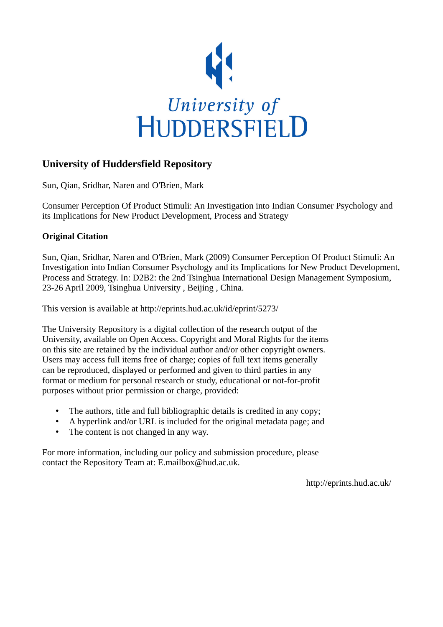

# **University of Huddersfield Repository**

Sun, Qian, Sridhar, Naren and O'Brien, Mark

Consumer Perception Of Product Stimuli: An Investigation into Indian Consumer Psychology and its Implications for New Product Development, Process and Strategy

## **Original Citation**

Sun, Qian, Sridhar, Naren and O'Brien, Mark (2009) Consumer Perception Of Product Stimuli: An Investigation into Indian Consumer Psychology and its Implications for New Product Development, Process and Strategy. In: D2B2: the 2nd Tsinghua International Design Management Symposium, 23-26 April 2009, Tsinghua University , Beijing , China.

This version is available at http://eprints.hud.ac.uk/id/eprint/5273/

The University Repository is a digital collection of the research output of the University, available on Open Access. Copyright and Moral Rights for the items on this site are retained by the individual author and/or other copyright owners. Users may access full items free of charge; copies of full text items generally can be reproduced, displayed or performed and given to third parties in any format or medium for personal research or study, educational or not-for-profit purposes without prior permission or charge, provided:

- The authors, title and full bibliographic details is credited in any copy;
- A hyperlink and/or URL is included for the original metadata page; and
- The content is not changed in any way.

For more information, including our policy and submission procedure, please contact the Repository Team at: E.mailbox@hud.ac.uk.

http://eprints.hud.ac.uk/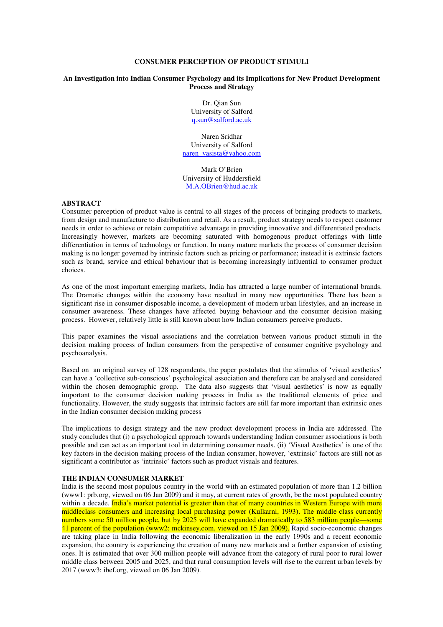## **CONSUMER PERCEPTION OF PRODUCT STIMULI**

#### **An Investigation into Indian Consumer Psychology and its Implications for New Product Development Process and Strategy**

Dr. Qian Sun University of Salford q.sun@salford.ac.uk

Naren Sridhar University of Salford naren\_vasista@yahoo.com

Mark O'Brien University of Huddersfield M.A.OBrien@hud.ac.uk

#### **ABSTRACT**

Consumer perception of product value is central to all stages of the process of bringing products to markets, from design and manufacture to distribution and retail. As a result, product strategy needs to respect customer needs in order to achieve or retain competitive advantage in providing innovative and differentiated products. Increasingly however, markets are becoming saturated with homogenous product offerings with little differentiation in terms of technology or function. In many mature markets the process of consumer decision making is no longer governed by intrinsic factors such as pricing or performance; instead it is extrinsic factors such as brand, service and ethical behaviour that is becoming increasingly influential to consumer product choices.

As one of the most important emerging markets, India has attracted a large number of international brands. The Dramatic changes within the economy have resulted in many new opportunities. There has been a significant rise in consumer disposable income, a development of modern urban lifestyles, and an increase in consumer awareness. These changes have affected buying behaviour and the consumer decision making process. However, relatively little is still known about how Indian consumers perceive products.

This paper examines the visual associations and the correlation between various product stimuli in the decision making process of Indian consumers from the perspective of consumer cognitive psychology and psychoanalysis.

Based on an original survey of 128 respondents, the paper postulates that the stimulus of 'visual aesthetics' can have a 'collective sub-conscious' psychological association and therefore can be analysed and considered within the chosen demographic group. The data also suggests that 'visual aesthetics' is now as equally important to the consumer decision making process in India as the traditional elements of price and functionality. However, the study suggests that intrinsic factors are still far more important than extrinsic ones in the Indian consumer decision making process

The implications to design strategy and the new product development process in India are addressed. The study concludes that (i) a psychological approach towards understanding Indian consumer associations is both possible and can act as an important tool in determining consumer needs. (ii) 'Visual Aesthetics' is one of the key factors in the decision making process of the Indian consumer, however, 'extrinsic' factors are still not as significant a contributor as 'intrinsic' factors such as product visuals and features.

#### **THE INDIAN CONSUMER MARKET**

India is the second most populous country in the world with an estimated population of more than 1.2 billion (www1: prb.org, viewed on 06 Jan 2009) and it may, at current rates of growth, be the most populated country within a decade. India's market potential is greater than that of many countries in Western Europe with more middleclass consumers and increasing local purchasing power (Kulkarni, 1993). The middle class currently numbers some 50 million people, but by 2025 will have expanded dramatically to 583 million people—some 41 percent of the population (www2: mckinsey.com, viewed on 15 Jan 2009). Rapid socio-economic changes are taking place in India following the economic liberalization in the early 1990s and a recent economic expansion, the country is experiencing the creation of many new markets and a further expansion of existing ones. It is estimated that over 300 million people will advance from the category of rural poor to rural lower middle class between 2005 and 2025, and that rural consumption levels will rise to the current urban levels by 2017 (www3: ibef.org, viewed on 06 Jan 2009).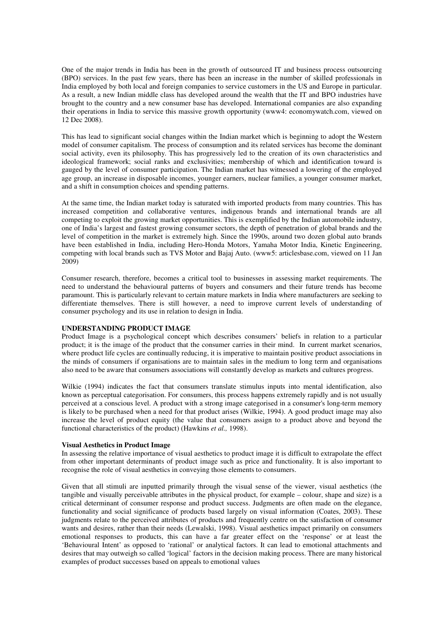One of the major trends in India has been in the growth of outsourced IT and business process outsourcing (BPO) services. In the past few years, there has been an increase in the number of skilled professionals in India employed by both local and foreign companies to service customers in the US and Europe in particular. As a result, a new Indian middle class has developed around the wealth that the IT and BPO industries have brought to the country and a new consumer base has developed. International companies are also expanding their operations in India to service this massive growth opportunity (www4: economywatch.com, viewed on 12 Dec 2008).

This has lead to significant social changes within the Indian market which is beginning to adopt the Western model of consumer capitalism. The process of consumption and its related services has become the dominant social activity, even its philosophy. This has progressively led to the creation of its own characteristics and ideological framework; social ranks and exclusivities; membership of which and identification toward is gauged by the level of consumer participation. The Indian market has witnessed a lowering of the employed age group, an increase in disposable incomes, younger earners, nuclear families, a younger consumer market, and a shift in consumption choices and spending patterns.

At the same time, the Indian market today is saturated with imported products from many countries. This has increased competition and collaborative ventures, indigenous brands and international brands are all competing to exploit the growing market opportunities. This is exemplified by the Indian automobile industry, one of India's largest and fastest growing consumer sectors, the depth of penetration of global brands and the level of competition in the market is extremely high. Since the 1990s, around two dozen global auto brands have been established in India, including Hero-Honda Motors, Yamaha Motor India, Kinetic Engineering, competing with local brands such as TVS Motor and Bajaj Auto. (www5: articlesbase.com, viewed on 11 Jan 2009)

Consumer research, therefore, becomes a critical tool to businesses in assessing market requirements. The need to understand the behavioural patterns of buyers and consumers and their future trends has become paramount. This is particularly relevant to certain mature markets in India where manufacturers are seeking to differentiate themselves. There is still however, a need to improve current levels of understanding of consumer psychology and its use in relation to design in India.

#### **UNDERSTANDING PRODUCT IMAGE**

Product Image is a psychological concept which describes consumers' beliefs in relation to a particular product; it is the image of the product that the consumer carries in their mind. In current market scenarios, where product life cycles are continually reducing, it is imperative to maintain positive product associations in the minds of consumers if organisations are to maintain sales in the medium to long term and organisations also need to be aware that consumers associations will constantly develop as markets and cultures progress.

Wilkie (1994) indicates the fact that consumers translate stimulus inputs into mental identification, also known as perceptual categorisation. For consumers, this process happens extremely rapidly and is not usually perceived at a conscious level. A product with a strong image categorised in a consumer's long-term memory is likely to be purchased when a need for that product arises (Wilkie, 1994). A good product image may also increase the level of product equity (the value that consumers assign to a product above and beyond the functional characteristics of the product) (Hawkins *et al.,* 1998).

#### **Visual Aesthetics in Product Image**

In assessing the relative importance of visual aesthetics to product image it is difficult to extrapolate the effect from other important determinants of product image such as price and functionality. It is also important to recognise the role of visual aesthetics in conveying those elements to consumers.

Given that all stimuli are inputted primarily through the visual sense of the viewer, visual aesthetics (the tangible and visually perceivable attributes in the physical product, for example – colour, shape and size) is a critical determinant of consumer response and product success. Judgments are often made on the elegance, functionality and social significance of products based largely on visual information (Coates, 2003). These judgments relate to the perceived attributes of products and frequently centre on the satisfaction of consumer wants and desires, rather than their needs (Lewalski, 1998). Visual aesthetics impact primarily on consumers emotional responses to products, this can have a far greater effect on the 'response' or at least the 'Behavioural Intent' as opposed to 'rational' or analytical factors. It can lead to emotional attachments and desires that may outweigh so called 'logical' factors in the decision making process. There are many historical examples of product successes based on appeals to emotional values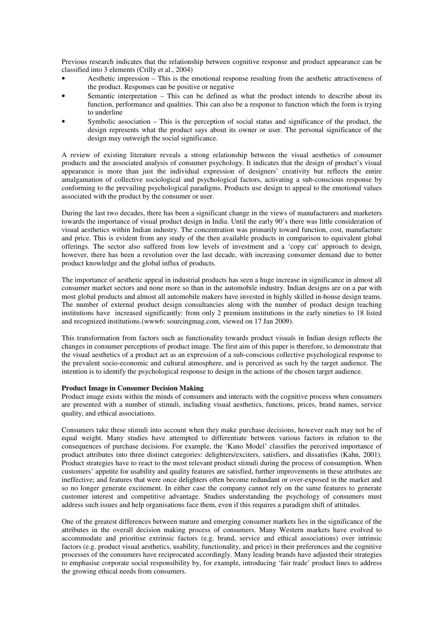Previous research indicates that the relationship between cognitive response and product appearance can be classified into 3 elements (Crilly et al., 2004)

- Aesthetic impression This is the emotional response resulting from the aesthetic attractiveness of the product. Responses can be positive or negative
- Semantic interpretation This can be defined as what the product intends to describe about its function, performance and qualities. This can also be a response to function which the form is trying to underline
- Symbolic association This is the perception of social status and significance of the product, the design represents what the product says about its owner or user. The personal significance of the design may outweigh the social significance.

A review of existing literature reveals a strong relationship between the visual aesthetics of consumer products and the associated analysis of consumer psychology. It indicates that the design of product's visual appearance is more than just the individual expression of designers' creativity but reflects the entire amalgamation of collective sociological and psychological factors, activating a sub-conscious response by conforming to the prevailing psychological paradigms. Products use design to appeal to the emotional values associated with the product by the consumer or user.

During the last two decades, there has been a significant change in the views of manufacturers and marketers towards the importance of visual product design in India. Until the early 90's there was little consideration of visual aesthetics within Indian industry. The concentration was primarily toward function, cost, manufacture and price. This is evident from any study of the then available products in comparison to equivalent global offerings. The sector also suffered from low levels of investment and a 'copy cat' approach to design, however, there has been a revolution over the last decade, with increasing consumer demand due to better product knowledge and the global influx of products.

The importance of aesthetic appeal in industrial products has seen a huge increase in significance in almost all consumer market sectors and none more so than in the automobile industry. Indian designs are on a par with most global products and almost all automobile makers have invested in highly skilled in-house design teams. The number of external product design consultancies along with the number of product design teaching institutions have increased significantly: from only 2 premium institutions in the early nineties to 18 listed and recognized institutions.(www6: sourcingmag.com, viewed on 17 Jan 2009).

This transformation from factors such as functionality towards product visuals in Indian design reflects the changes in consumer perceptions of product image. The first aim of this paper is therefore, to demonstrate that the visual aesthetics of a product act as an expression of a sub-conscious collective psychological response to the prevalent socio-economic and cultural atmosphere, and is perceived as such by the target audience. The intention is to identify the psychological response to design in the actions of the chosen target audience.

## **Product Image in Consumer Decision Making**

Product image exists within the minds of consumers and interacts with the cognitive process when consumers are presented with a number of stimuli, including visual aesthetics, functions, prices, brand names, service quality, and ethical associations.

Consumers take these stimuli into account when they make purchase decisions, however each may not be of equal weight. Many studies have attempted to differentiate between various factors in relation to the consequences of purchase decisions. For example, the 'Kano Model' classifies the perceived importance of product attributes into three distinct categories: delighters/exciters, satisfiers, and dissatisfies (Kahn, 2001). Product strategies have to react to the most relevant product stimuli during the process of consumption. When customers' appetite for usability and quality features are satisfied, further improvements in these attributes are ineffective; and features that were once delighters often become redundant or over-exposed in the market and so no longer generate excitement. In either case the company cannot rely on the same features to generate customer interest and competitive advantage. Studies understanding the psychology of consumers must address such issues and help organisations face them, even if this requires a paradigm shift of attitudes.

One of the greatest differences between mature and emerging consumer markets lies in the significance of the attributes in the overall decision making process of consumers. Many Western markets have evolved to accommodate and prioritise extrinsic factors (e.g. brand, service and ethical associations) over intrinsic factors (e.g. product visual aesthetics, usability, functionality, and price) in their preferences and the cognitive processes of the consumers have reciprocated accordingly. Many leading brands have adjusted their strategies to emphasise corporate social responsibility by, for example, introducing 'fair trade' product lines to address the growing ethical needs from consumers.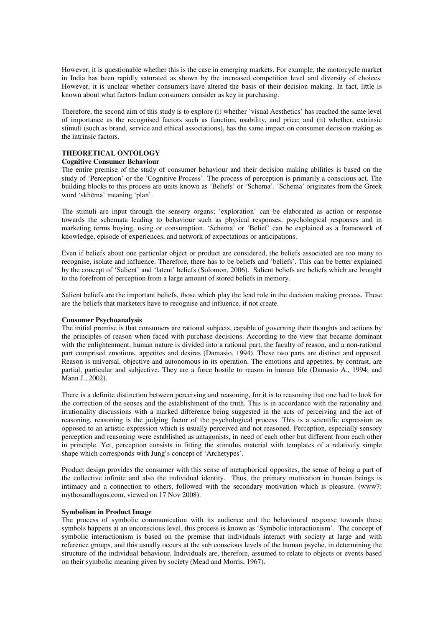However, it is questionable whether this is the case in emerging markets. For example, the motorcycle market in India has been rapidly saturated as shown by the increased competition level and diversity of choices. However, it is unclear whether consumers have altered the basis of their decision making. In fact, little is known about what factors Indian consumers consider as key in purchasing.

Therefore, the second aim of this study is to explore (i) whether 'visual Aesthetics' has reached the same level of importance as the recognised factors such as function, usability, and price; and (ii) whether, extrinsic stimuli (such as brand, service and ethical associations), has the same impact on consumer decision making as the intrinsic factors.

## **THEORETICAL ONTOLOGY**

#### **Cognitive Consumer Behaviour**

The entire premise of the study of consumer behaviour and their decision making abilities is based on the study of 'Perception' or the 'Cognitive Process'. The process of perception is primarily a conscious act. The building blocks to this process are units known as 'Beliefs' or 'Schema'. 'Schema' originates from the Greek word 'skhēma' meaning 'plan'.

The stimuli are input through the sensory organs; 'exploration' can be elaborated as action or response towards the schemata leading to behaviour such as physical responses, psychological responses and in marketing terms buying, using or consumption. 'Schema' or 'Belief' can be explained as a framework of knowledge, episode of experiences, and network of expectations or anticipations.

Even if beliefs about one particular object or product are considered, the beliefs associated are too many to recognise, isolate and influence. Therefore, there has to be beliefs and 'beliefs'. This can be better explained by the concept of 'Salient' and 'latent' beliefs (Solomon, 2006). Salient beliefs are beliefs which are brought to the forefront of perception from a large amount of stored beliefs in memory.

Salient beliefs are the important beliefs, those which play the lead role in the decision making process. These are the beliefs that marketers have to recognise and influence, if not create.

#### **Consumer Psychoanalysis**

The initial premise is that consumers are rational subjects, capable of governing their thoughts and actions by the principles of reason when faced with purchase decisions. According to the view that became dominant with the enlightenment, human nature is divided into a rational part, the faculty of reason, and a non-rational part comprised emotions, appetites and desires (Damasio, 1994). These two parts are distinct and opposed. Reason is universal, objective and autonomous in its operation. The emotions and appetites, by contrast, are partial, particular and subjective. They are a force hostile to reason in human life (Damasio A., 1994; and Mann J., 2002).

There is a definite distinction between perceiving and reasoning, for it is to reasoning that one had to look for the correction of the senses and the establishment of the truth. This is in accordance with the rationality and irrationality discussions with a marked difference being suggested in the acts of perceiving and the act of reasoning, reasoning is the judging factor of the psychological process. This is a scientific expression as opposed to an artistic expression which is usually perceived and not reasoned. Perception, especially sensory perception and reasoning were established as antagonists, in need of each other but different from each other in principle. Yet, perception consists in fitting the stimulus material with templates of a relatively simple shape which corresponds with Jung's concept of 'Archetypes'.

Product design provides the consumer with this sense of metaphorical opposites, the sense of being a part of the collective infinite and also the individual identity. Thus, the primary motivation in human beings is intimacy and a connection to others, followed with the secondary motivation which is pleasure. (www7: mythosandlogos.com, viewed on 17 Nov 2008).

#### **Symbolism in Product Image**

The process of symbolic communication with its audience and the behavioural response towards these symbols happens at an unconscious level, this process is known as 'Symbolic interactionism'. The concept of symbolic interactionism is based on the premise that individuals interact with society at large and with reference groups, and this usually occurs at the sub conscious levels of the human psyche, in determining the structure of the individual behaviour. Individuals are, therefore, assumed to relate to objects or events based on their symbolic meaning given by society (Mead and Morris, 1967).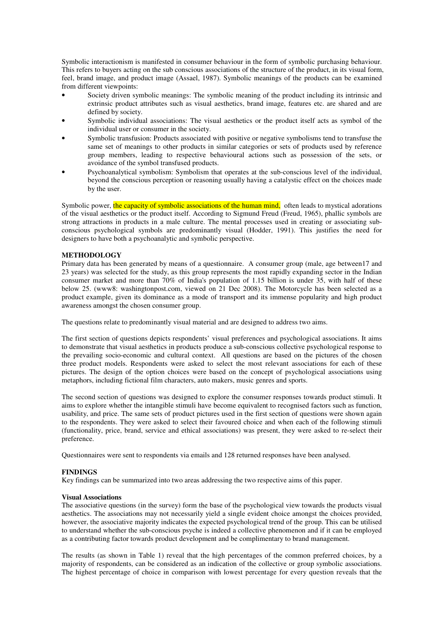Symbolic interactionism is manifested in consumer behaviour in the form of symbolic purchasing behaviour. This refers to buyers acting on the sub conscious associations of the structure of the product, in its visual form, feel, brand image, and product image (Assael, 1987). Symbolic meanings of the products can be examined from different viewpoints:

- Society driven symbolic meanings: The symbolic meaning of the product including its intrinsic and extrinsic product attributes such as visual aesthetics, brand image, features etc. are shared and are defined by society.
- Symbolic individual associations: The visual aesthetics or the product itself acts as symbol of the individual user or consumer in the society.
- Symbolic transfusion: Products associated with positive or negative symbolisms tend to transfuse the same set of meanings to other products in similar categories or sets of products used by reference group members, leading to respective behavioural actions such as possession of the sets, or avoidance of the symbol transfused products.
- Psychoanalytical symbolism: Symbolism that operates at the sub-conscious level of the individual, beyond the conscious perception or reasoning usually having a catalystic effect on the choices made by the user.

Symbolic power, the capacity of symbolic associations of the human mind, often leads to mystical adorations of the visual aesthetics or the product itself. According to Sigmund Freud (Freud, 1965), phallic symbols are strong attractions in products in a male culture. The mental processes used in creating or associating subconscious psychological symbols are predominantly visual (Hodder, 1991). This justifies the need for designers to have both a psychoanalytic and symbolic perspective.

#### **METHODOLOGY**

Primary data has been generated by means of a questionnaire. A consumer group (male, age between17 and 23 years) was selected for the study, as this group represents the most rapidly expanding sector in the Indian consumer market and more than 70% of India's population of 1.15 billion is under 35, with half of these below 25. (www8: washingtonpost.com, viewed on 21 Dec 2008). The Motorcycle has been selected as a product example, given its dominance as a mode of transport and its immense popularity and high product awareness amongst the chosen consumer group.

The questions relate to predominantly visual material and are designed to address two aims.

The first section of questions depicts respondents' visual preferences and psychological associations. It aims to demonstrate that visual aesthetics in products produce a sub-conscious collective psychological response to the prevailing socio-economic and cultural context. All questions are based on the pictures of the chosen three product models. Respondents were asked to select the most relevant associations for each of these pictures. The design of the option choices were based on the concept of psychological associations using metaphors, including fictional film characters, auto makers, music genres and sports.

The second section of questions was designed to explore the consumer responses towards product stimuli. It aims to explore whether the intangible stimuli have become equivalent to recognised factors such as function, usability, and price. The same sets of product pictures used in the first section of questions were shown again to the respondents. They were asked to select their favoured choice and when each of the following stimuli (functionality, price, brand, service and ethical associations) was present, they were asked to re-select their preference.

Questionnaires were sent to respondents via emails and 128 returned responses have been analysed.

## **FINDINGS**

Key findings can be summarized into two areas addressing the two respective aims of this paper.

## **Visual Associations**

The associative questions (in the survey) form the base of the psychological view towards the products visual aesthetics. The associations may not necessarily yield a single evident choice amongst the choices provided, however, the associative majority indicates the expected psychological trend of the group. This can be utilised to understand whether the sub-conscious psyche is indeed a collective phenomenon and if it can be employed as a contributing factor towards product development and be complimentary to brand management.

The results (as shown in Table 1) reveal that the high percentages of the common preferred choices, by a majority of respondents, can be considered as an indication of the collective or group symbolic associations. The highest percentage of choice in comparison with lowest percentage for every question reveals that the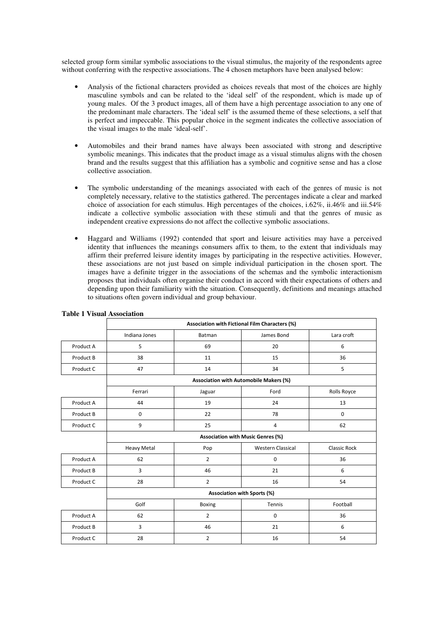selected group form similar symbolic associations to the visual stimulus, the majority of the respondents agree without conferring with the respective associations. The 4 chosen metaphors have been analysed below:

- Analysis of the fictional characters provided as choices reveals that most of the choices are highly masculine symbols and can be related to the 'ideal self' of the respondent, which is made up of young males. Of the 3 product images, all of them have a high percentage association to any one of the predominant male characters. The 'ideal self' is the assumed theme of these selections, a self that is perfect and impeccable. This popular choice in the segment indicates the collective association of the visual images to the male 'ideal-self'.
- Automobiles and their brand names have always been associated with strong and descriptive symbolic meanings. This indicates that the product image as a visual stimulus aligns with the chosen brand and the results suggest that this affiliation has a symbolic and cognitive sense and has a close collective association.
- The symbolic understanding of the meanings associated with each of the genres of music is not completely necessary, relative to the statistics gathered. The percentages indicate a clear and marked choice of association for each stimulus. High percentages of the choices, i.62%, ii.46% and iii.54% indicate a collective symbolic association with these stimuli and that the genres of music as independent creative expressions do not affect the collective symbolic associations.
- Haggard and Williams (1992) contended that sport and leisure activities may have a perceived identity that influences the meanings consumers affix to them, to the extent that individuals may affirm their preferred leisure identity images by participating in the respective activities. However, these associations are not just based on simple individual participation in the chosen sport. The images have a definite trigger in the associations of the schemas and the symbolic interactionism proposes that individuals often organise their conduct in accord with their expectations of others and depending upon their familiarity with the situation. Consequently, definitions and meanings attached to situations often govern individual and group behaviour.

|           | Association with Fictional Film Characters (%) |                |                          |              |  |
|-----------|------------------------------------------------|----------------|--------------------------|--------------|--|
|           | Indiana Jones                                  | Batman         | James Bond               | Lara croft   |  |
| Product A | 5                                              | 69             | 20                       | 6            |  |
| Product B | 38                                             | 11             | 15                       | 36           |  |
| Product C | 47                                             | 14             | 34                       | 5            |  |
|           | <b>Association with Automobile Makers (%)</b>  |                |                          |              |  |
|           | Ferrari                                        | Jaguar         | Ford                     | Rolls Royce  |  |
| Product A | 44                                             | 19             | 24                       | 13           |  |
| Product B | $\mathbf 0$                                    | 22             | 78                       | $\mathbf 0$  |  |
| Product C | 9                                              | 25             | 4                        | 62           |  |
|           | Association with Music Genres (%)              |                |                          |              |  |
|           | <b>Heavy Metal</b>                             | Pop            | <b>Western Classical</b> | Classic Rock |  |
| Product A | 62                                             | $\overline{2}$ | $\mathbf 0$              | 36           |  |
| Product B | 3                                              | 46             | 21                       | 6            |  |
| Product C | 28                                             | $\overline{2}$ | 16                       | 54           |  |
|           | Association with Sports (%)                    |                |                          |              |  |
|           | Golf                                           | <b>Boxing</b>  | Tennis                   | Football     |  |
| Product A | 62                                             | $\overline{2}$ | $\mathbf 0$              | 36           |  |
| Product B | 3                                              | 46             | 21                       | 6            |  |
| Product C | 28                                             | $\overline{2}$ | 16                       | 54           |  |

#### **Table 1 Visual Association**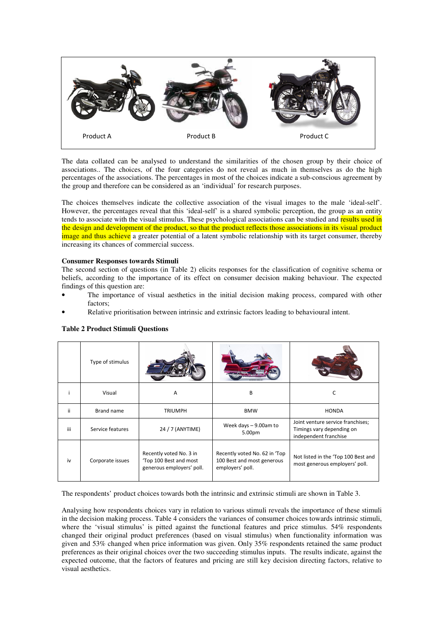

The data collated can be analysed to understand the similarities of the chosen group by their choice of associations.. The choices, of the four categories do not reveal as much in themselves as do the high percentages of the associations. The percentages in most of the choices indicate a sub-conscious agreement by the group and therefore can be considered as an 'individual' for research purposes.

The choices themselves indicate the collective association of the visual images to the male 'ideal-self'. However, the percentages reveal that this 'ideal-self' is a shared symbolic perception, the group as an entity tends to associate with the visual stimulus. These psychological associations can be studied and results used in the design and development of the product, so that the product reflects those associations in its visual product image and thus achieve a greater potential of a latent symbolic relationship with its target consumer, thereby increasing its chances of commercial success.

#### **Consumer Responses towards Stimuli**

The second section of questions (in Table 2) elicits responses for the classification of cognitive schema or beliefs, according to the importance of its effect on consumer decision making behaviour. The expected findings of this question are:

- The importance of visual aesthetics in the initial decision making process, compared with other factors;
- Relative prioritisation between intrinsic and extrinsic factors leading to behavioural intent.

|     | Type of stimulus |                                                                                |                                                                                 |                                                                                         |
|-----|------------------|--------------------------------------------------------------------------------|---------------------------------------------------------------------------------|-----------------------------------------------------------------------------------------|
|     | Visual           | A                                                                              | B                                                                               |                                                                                         |
| ii. | Brand name       | <b>TRIUMPH</b>                                                                 | <b>BMW</b>                                                                      | <b>HONDA</b>                                                                            |
| iii | Service features | 24 / 7 (ANYTIME)                                                               | Week days $-9.00$ am to<br>5.00pm                                               | Joint venture service franchises;<br>Timings vary depending on<br>independent franchise |
| iv  | Corporate issues | Recently voted No. 3 in<br>'Top 100 Best and most<br>generous employers' poll. | Recently voted No. 62 in 'Top<br>100 Best and most generous<br>employers' poll. | Not listed in the 'Top 100 Best and<br>most generous employers' poll.                   |

## **Table 2 Product Stimuli Questions**

The respondents' product choices towards both the intrinsic and extrinsic stimuli are shown in Table 3.

Analysing how respondents choices vary in relation to various stimuli reveals the importance of these stimuli in the decision making process. Table 4 considers the variances of consumer choices towards intrinsic stimuli, where the 'visual stimulus' is pitted against the functional features and price stimulus. 54% respondents changed their original product preferences (based on visual stimulus) when functionality information was given and 53% changed when price information was given. Only 35% respondents retained the same product preferences as their original choices over the two succeeding stimulus inputs. The results indicate, against the expected outcome, that the factors of features and pricing are still key decision directing factors, relative to visual aesthetics.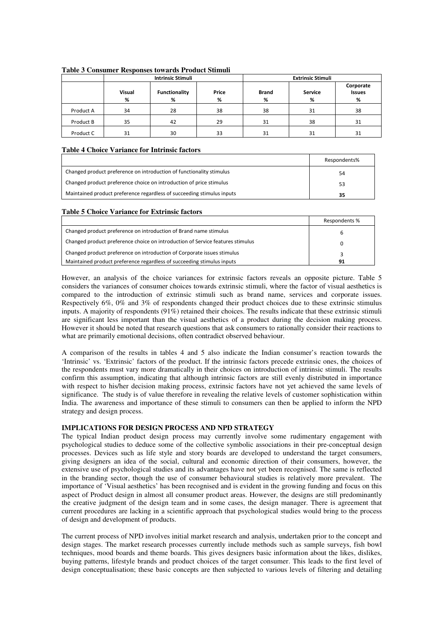|           | <b>Intrinsic Stimuli</b> |                           |            | <b>Extrinsic Stimuli</b> |                     |                                 |
|-----------|--------------------------|---------------------------|------------|--------------------------|---------------------|---------------------------------|
|           | <b>Visual</b><br>%       | <b>Functionality</b><br>% | Price<br>% | <b>Brand</b><br>%        | <b>Service</b><br>% | Corporate<br><b>Issues</b><br>% |
| Product A | 34                       | 28                        | 38         | 38                       | 31                  | 38                              |
| Product B | 35                       | 42                        | 29         | 31                       | 38                  | 31                              |
| Product C | 31                       | 30                        | 33         | 31                       | 31                  | 31                              |

#### **Table 3 Consumer Responses towards Product Stimuli**

## **Table 4 Choice Variance for Intrinsic factors**

|                                                                        | Respondents% |
|------------------------------------------------------------------------|--------------|
| Changed product preference on introduction of functionality stimulus   | 54           |
| Changed product preference choice on introduction of price stimulus    | 53           |
| Maintained product preference regardless of succeeding stimulus inputs | 35           |

## **Table 5 Choice Variance for Extrinsic factors**

|                                                                                | Respondents % |
|--------------------------------------------------------------------------------|---------------|
| Changed product preference on introduction of Brand name stimulus              |               |
| Changed product preference choice on introduction of Service features stimulus |               |
| Changed product preference on introduction of Corporate issues stimulus        |               |
| Maintained product preference regardless of succeeding stimulus inputs         | 91            |

However, an analysis of the choice variances for extrinsic factors reveals an opposite picture. Table 5 considers the variances of consumer choices towards extrinsic stimuli, where the factor of visual aesthetics is compared to the introduction of extrinsic stimuli such as brand name, services and corporate issues. Respectively 6%, 0% and 3% of respondents changed their product choices due to these extrinsic stimulus inputs. A majority of respondents (91%) retained their choices. The results indicate that these extrinsic stimuli are significant less important than the visual aesthetics of a product during the decision making process. However it should be noted that research questions that ask consumers to rationally consider their reactions to what are primarily emotional decisions, often contradict observed behaviour.

A comparison of the results in tables 4 and 5 also indicate the Indian consumer's reaction towards the 'Intrinsic' vs. 'Extrinsic' factors of the product. If the intrinsic factors precede extrinsic ones, the choices of the respondents must vary more dramatically in their choices on introduction of intrinsic stimuli. The results confirm this assumption, indicating that although intrinsic factors are still evenly distributed in importance with respect to his/her decision making process, extrinsic factors have not yet achieved the same levels of significance. The study is of value therefore in revealing the relative levels of customer sophistication within India. The awareness and importance of these stimuli to consumers can then be applied to inform the NPD strategy and design process.

## **IMPLICATIONS FOR DESIGN PROCESS AND NPD STRATEGY**

The typical Indian product design process may currently involve some rudimentary engagement with psychological studies to deduce some of the collective symbolic associations in their pre-conceptual design processes. Devices such as life style and story boards are developed to understand the target consumers, giving designers an idea of the social, cultural and economic direction of their consumers, however, the extensive use of psychological studies and its advantages have not yet been recognised. The same is reflected in the branding sector, though the use of consumer behavioural studies is relatively more prevalent. The importance of 'Visual aesthetics' has been recognised and is evident in the growing funding and focus on this aspect of Product design in almost all consumer product areas. However, the designs are still predominantly the creative judgment of the design team and in some cases, the design manager. There is agreement that current procedures are lacking in a scientific approach that psychological studies would bring to the process of design and development of products.

The current process of NPD involves initial market research and analysis, undertaken prior to the concept and design stages. The market research processes currently include methods such as sample surveys, fish bowl techniques, mood boards and theme boards. This gives designers basic information about the likes, dislikes, buying patterns, lifestyle brands and product choices of the target consumer. This leads to the first level of design conceptualisation; these basic concepts are then subjected to various levels of filtering and detailing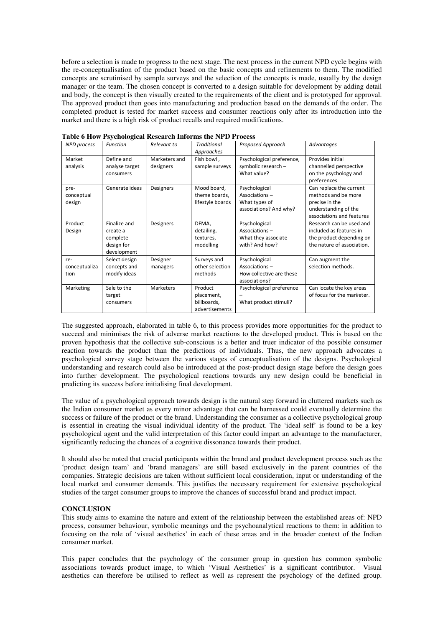before a selection is made to progress to the next stage. The next process in the current NPD cycle begins with the re-conceptualisation of the product based on the basic concepts and refinements to them. The modified concepts are scrutinised by sample surveys and the selection of the concepts is made, usually by the design manager or the team. The chosen concept is converted to a design suitable for development by adding detail and body, the concept is then visually created to the requirements of the client and is prototyped for approval. The approved product then goes into manufacturing and production based on the demands of the order. The completed product is tested for market success and consumer reactions only after its introduction into the market and there is a high risk of product recalls and required modifications.

| <b>NPD</b> process | Function       | Relevant to   | <b>Traditional</b> | Proposed Approach         | Advantages                 |
|--------------------|----------------|---------------|--------------------|---------------------------|----------------------------|
|                    |                |               | Approaches         |                           |                            |
| Market             | Define and     | Marketers and | Fish bowl,         | Psychological preference, | Provides initial           |
| analysis           | analyse target | designers     | sample surveys     | symbolic research -       | channelled perspective     |
|                    | consumers      |               |                    | What value?               | on the psychology and      |
|                    |                |               |                    |                           | preferences                |
| pre-               | Generate ideas | Designers     | Mood board,        | Psychological             | Can replace the current    |
| conceptual         |                |               | theme boards,      | Associations-             | methods and be more        |
| design             |                |               | lifestyle boards   | What types of             | precise in the             |
|                    |                |               |                    | associations? And why?    | understanding of the       |
|                    |                |               |                    |                           | associations and features  |
| Product            | Finalize and   | Designers     | DFMA,              | Psychological             | Research can be used and   |
| Design             | create a       |               | detailing,         | Associations-             | included as features in    |
|                    | complete       |               | textures,          | What they associate       | the product depending on   |
|                    | design for     |               | modelling          | with? And how?            | the nature of association. |
|                    | development    |               |                    |                           |                            |
| re-                | Select design  | Designer      | Surveys and        | Psychological             | Can augment the            |
| conceptualiza      | concepts and   | managers      | other selection    | Associations-             | selection methods.         |
| tion               | modify ideas   |               | methods            | How collective are these  |                            |
|                    |                |               |                    | associations?             |                            |
| Marketing          | Sale to the    | Marketers     | Product            | Psychological preference  | Can locate the key areas   |
|                    | target         |               | placement,         |                           | of focus for the marketer. |
|                    | consumers      |               | billboards,        | What product stimuli?     |                            |
|                    |                |               | advertisements     |                           |                            |

**Table 6 How Psychological Research Informs the NPD Process** 

The suggested approach, elaborated in table 6, to this process provides more opportunities for the product to succeed and minimises the risk of adverse market reactions to the developed product. This is based on the proven hypothesis that the collective sub-conscious is a better and truer indicator of the possible consumer reaction towards the product than the predictions of individuals. Thus, the new approach advocates a psychological survey stage between the various stages of conceptualisation of the designs. Psychological understanding and research could also be introduced at the post-product design stage before the design goes into further development. The psychological reactions towards any new design could be beneficial in predicting its success before initialising final development.

The value of a psychological approach towards design is the natural step forward in cluttered markets such as the Indian consumer market as every minor advantage that can be harnessed could eventually determine the success or failure of the product or the brand. Understanding the consumer as a collective psychological group is essential in creating the visual individual identity of the product. The 'ideal self' is found to be a key psychological agent and the valid interpretation of this factor could impart an advantage to the manufacturer, significantly reducing the chances of a cognitive dissonance towards their product.

It should also be noted that crucial participants within the brand and product development process such as the 'product design team' and 'brand managers' are still based exclusively in the parent countries of the companies. Strategic decisions are taken without sufficient local consideration, input or understanding of the local market and consumer demands. This justifies the necessary requirement for extensive psychological studies of the target consumer groups to improve the chances of successful brand and product impact.

## **CONCLUSION**

This study aims to examine the nature and extent of the relationship between the established areas of: NPD process, consumer behaviour, symbolic meanings and the psychoanalytical reactions to them: in addition to focusing on the role of 'visual aesthetics' in each of these areas and in the broader context of the Indian consumer market.

This paper concludes that the psychology of the consumer group in question has common symbolic associations towards product image, to which 'Visual Aesthetics' is a significant contributor. Visual aesthetics can therefore be utilised to reflect as well as represent the psychology of the defined group.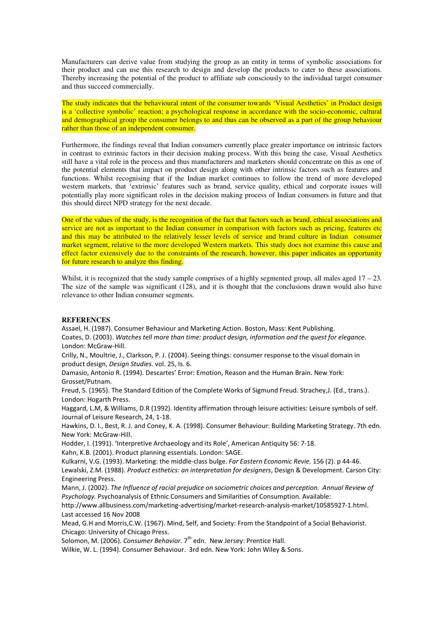Manufacturers can derive value from studying the group as an entity in terms of symbolic associations for their product and can use this research to design and develop the products to cater to these associations. Thereby increasing the potential of the product to affiliate sub consciously to the individual target consumer and thus succeed commercially.

The study indicates that the behavioural intent of the consumer towards 'Visual Aesthetics' in Product design is a 'collective symbolic' reaction; a psychological response in accordance with the socio-economic, cultural and demographical group the consumer belongs to and thus can be observed as a part of the group behaviour rather than those of an independent consumer.

Furthermore, the findings reveal that Indian consumers currently place greater importance on intrinsic factors in contrast to extrinsic factors in their decision making process. With this being the case, Visual Aesthetics still have a vital role in the process and thus manufacturers and marketers should concentrate on this as one of the potential elements that impact on product design along with other intrinsic factors such as features and functions. Whilst recognising that if the Indian market continues to follow the trend of more developed western markets, that 'extrinsic' features such as brand, service quality, ethical and corporate issues will potentially play more significant roles in the decision making process of Indian consumers in future and that this should direct NPD strategy for the next decade.

One of the values of the study, is the recognition of the fact that factors such as brand, ethical associations and service are not as important to the Indian consumer in comparison with factors such as pricing, features etc and this may be attributed to the relatively lesser levels of service and brand culture in Indian consumer market segment, relative to the more developed Western markets. This study does not examine this cause and effect factor extensively due to the constraints of the research, however, this paper indicates an opportunity for future research to analyze this finding.

Whilst, it is recognized that the study sample comprises of a highly segmented group, all males aged  $17 - 23$ . The size of the sample was significant (128), and it is thought that the conclusions drawn would also have relevance to other Indian consumer segments.

## **REFERENCES**

Assael, H. (1987). Consumer Behaviour and Marketing Action. Boston, Mass: Kent Publishing. Coates, D. (2003). Watches tell more than time: product design, information and the quest for elegance. London: McGraw-Hill.

Crilly, N., Moultrie, J., Clarkson, P. J. (2004). Seeing things: consumer response to the visual domain in product design, Design Studies. vol. 25, Is. 6.

Damasio, Antonio R. (1994). Descartes' Error: Emotion, Reason and the Human Brain. New York: Grosset/Putnam.

Freud, S. (1965). The Standard Edition of the Complete Works of Sigmund Freud. Strachey,J. (Ed., trans.). London: Hogarth Press.

Haggard, L.M, & Williams, D.R (1992). Identity affirmation through leisure activities: Leisure symbols of self. Journal of Leisure Research, 24, 1-18.

Hawkins, D. I., Best, R. J. and Coney, K. A. (1998). Consumer Behaviour: Building Marketing Strategy. 7th edn. New York: McGraw-Hill.

Hodder, I. (1991). 'Interpretive Archaeology and its Role', American Antiquity 56: 7-18.

Kahn, K.B. (2001). Product planning essentials. London: SAGE.

Kulkarni, V.G. (1993). Marketing: the middle-class bulge. Far Eastern Economic Revie. 156 (2). p 44-46. Lewalski, Z.M. (1988). Product esthetics: an interpretation for designers, Design & Development. Carson City: Engineering Press.

Mann, J. (2002). The Influence of racial prejudice on sociometric choices and perception. Annual Review of Psychology. Psychoanalysis of Ethnic Consumers and Similarities of Consumption. Available:

http://www.allbusiness.com/marketing-advertising/market-research-analysis-market/10585927-1.html. Last accessed 16 Nov 2008

Mead, G.H and Morris,C.W. (1967). Mind, Self, and Society: From the Standpoint of a Social Behaviorist. Chicago: University of Chicago Press.

Solomon, M. (2006). *Consumer Behavior.* 7<sup>th</sup> edn. New Jersey: Prentice Hall.

Wilkie, W. L. (1994). Consumer Behaviour. 3rd edn. New York: John Wiley & Sons.